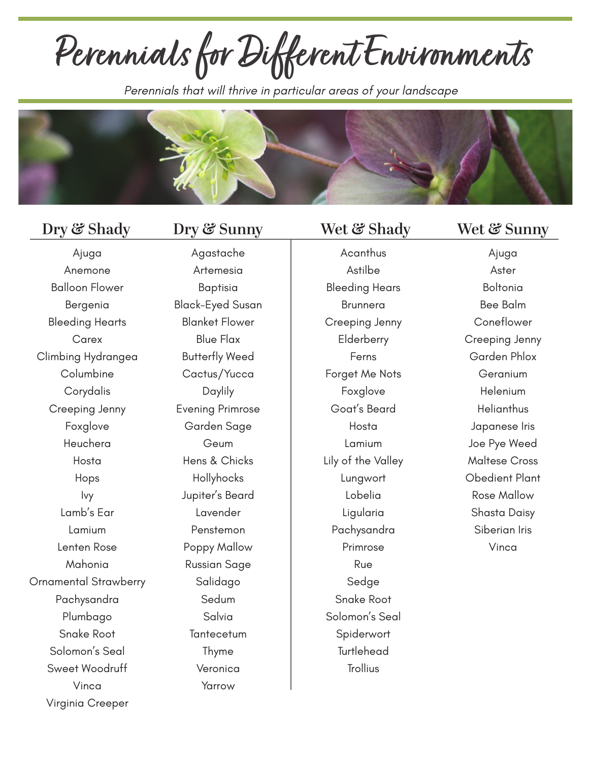**Perennials for Different Environments**

*Perennials that will thrive in particular areas of your landscape*



Agastache

Ajuga Anemone Balloon Flower Bergenia Bleeding Hearts **Carex** Climbing Hydrangea Columbine Corydalis Creeping Jenny Foxglove Heuchera Hosta Hops Ivy Lamb's Ear Lamium Lenten Rose Mahonia Ornamental Strawberry Pachysandra Plumbago Snake Root Solomon's Seal Sweet Woodruff Vinca Virginia Creeper

Artemesia Baptisia Black-Eyed Susan Blanket Flower Blue Flax Butterfly Weed Cactus/Yucca Daylily Evening Primrose Garden Sage Geum Hens & Chicks Hollyhocks Jupiter's Beard Lavender Penstemon Poppy Mallow Russian Sage Salidago Sedum Salvia **Tantecetum** Thyme Veronica Yarrow

**Acanthus** Astilbe Bleeding Hears Brunnera Creeping Jenny **Elderberry** Ferns Forget Me Nots Foxglove Goat's Beard Hosta Lamium Lily of the Valley Lungwort Lobelia Ligularia Pachysandra Primrose Rue Sedge Snake Root Solomon's Seal **Spiderwort Turtlehead Trollius** 

### **Dry & Shady Dry & Sunny Wet & Shady Wet & Sunny**

Ajuga Aster Boltonia Bee Balm **Coneflower** Creeping Jenny Garden Phlox Geranium Helenium **Helianthus** Japanese Iris Joe Pye Weed Maltese Cross Obedient Plant Rose Mallow Shasta Daisy Siberian Iris Vinca